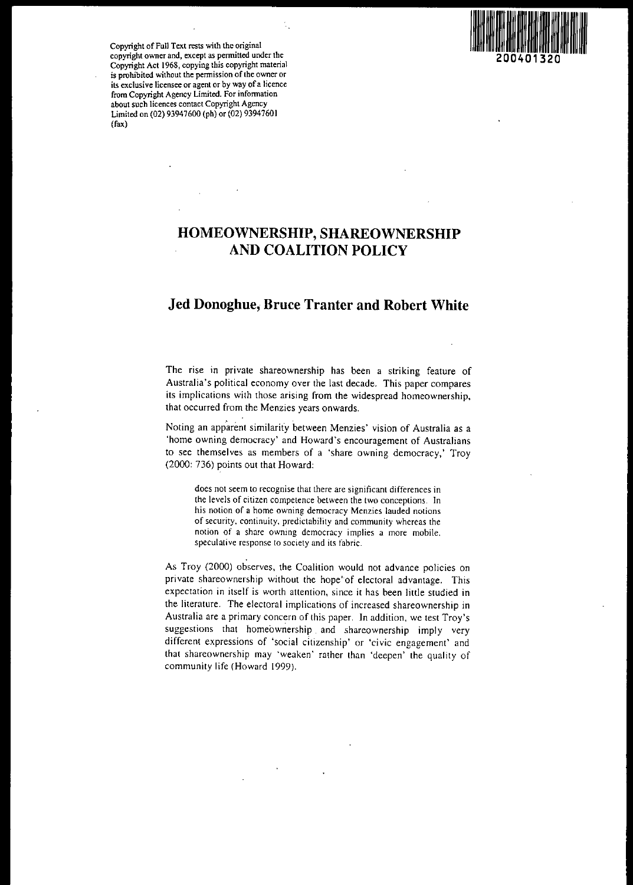

Copyright of Full Text rests with the original copyright owner and, except as pennitted under the Copyright Act 1968, copying this copyright material is prohibited without the permission of the owner or its exclusive licensee or agent or by way of a licence from Copyright Agency Limited. For infonnation about such licences contact Copyright Agency Limited on (02) 93947600 (ph) or (02) 93947601 (fax)

# HOMEOWNERSHIP, SHAREOWNERSHIP AND COALITION POLICY

# Jed Donoghue, Bruce Tranter and Robert White

The rise in private shareownership has been a striking feature of Australia's political economy over the last decade. This paper compares its implications with those arising from the widespread homeownership, that occurred from the Menzies years onwards.

Noting an apparent similarity between Menzies' vision of Australia as a 'home owning democracy' and Howard's encouragement of Australians to see themselves as members of a 'share owning democracy,' Troy (2000: 736) points out that Howard:

does not seem to recognise that there are significant differences in the levels of citizen competence between the two conceptions. In his notion of a home owning democracy Menzies lauded notions of security. continuity. predictability and community whereas the notion of a share owning democracy implies a more mobile. speculative response to society and its fabric.

As Troy (2000) observes, the Coalition would not advance policies on private shareownership without the hope' of electoral advantage. This expectation in itself is worth attention, since it has been little studied in the literature. The electoral implications of increased shareownership in Australia are a primary concern of this paper. In addition, we test Troy's suggestions that homeownership and shareownership imply very different expressions of 'social citizenship' or 'civic engagement' and that shareownership may 'weaken' rather than 'deepen' the quality of community life (Howard 1999).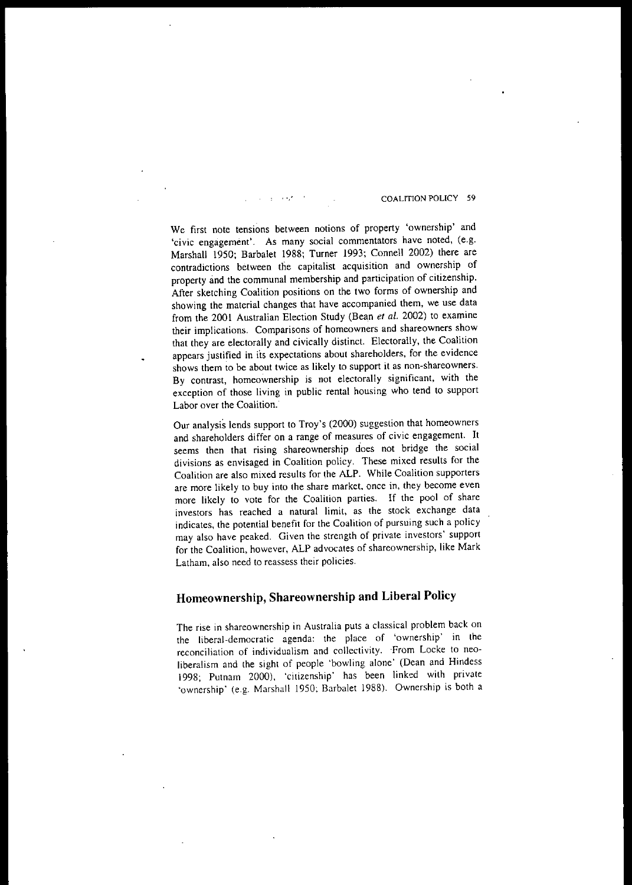#### COALITION POLICY 59

**We first note tensions between notions of property 'ownership' and 'civic engagement', As many social commentators have noted, (e.g,** Marshall 1950; Barbalet 1988; Turner 1993; Connell 2002) there are **contradictions between the capitalist acquisition and ownership of** property and the communal membership and participation of citizenship. After sketching Coalition positions on the two forms of ownership and showing the material changes that have accompanied them, we use data from the 2001 Australian Election Study (Bean *et al.* 2002) to examine **their implications. Comparisons of homeowners and shareowners show** that they are electorally and civically distinct. Electorally, the Coalition **appears justified in j'ts expectations about shareholders, for the evidence shows them to be about twice as likely to support it as non-shareowners. By contrast, homeownership is not electorally significant, with the** exception of those living in public rental housing who tend to support Labor over the Coalition.

Our analysis lends support to Troy's (2000) suggestion that homeowners and shareholders differ on a range of measures of civic engagement. It **seems then that rising shareownership does not bridge the social divisions as envisaged in Coalition policy. These mixed results for the** Coalition are also mixed results for the ALP. While Coalition supporters **are more likely to buy into the share market. once in. they become even** more likely to vote for the Coalition parties. If the pool of share **investors has reached a natural limit, as the stock exchange data indicates, the potential benefit for the Coalition of pursuing such a policy may also have peaked, Given the strength of private investors' support** for the Coalition, however, ALP advocates of shareownership, like Mark **Latham, also need to reassess their policies,**

# **Homeownership, Shareownership and Liberal Policy**

**The rise in shareownership in Australia puts a classical problem back on the liberal-democratic agenda: the place of 'ownership' in the reconciliation of individualism and collectivity. ,From Locke to neoliberalism and the sight of people 'bowling alone' (Dean and Hindess** 1998; Putnam 2000), 'citizenship' has been linked with private 'ownership' (e.g. Marshall 1950; Barbalet 1988). Ownership is both a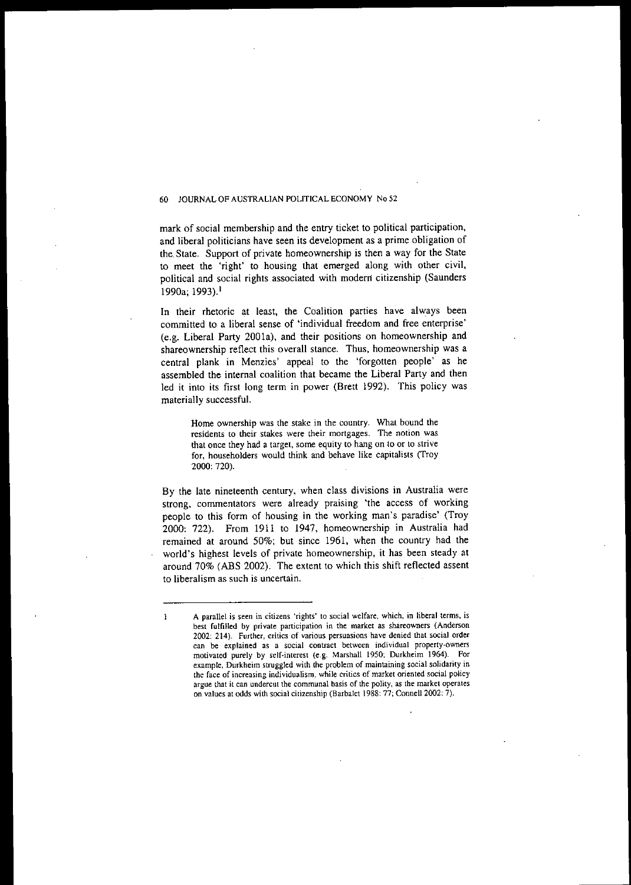mark of social membership and the entry ticket to political participation, and liberal politicians have seen its development as a prime obligation of the. State. Support of private homeownership is then a way for the State to meet the 'right' to housing that emerged along with other civil, political and social rights associated with modern citizenship (Saunders 1990a; 1993).<sup>1</sup>

In their rhetoric at least, the Coalition parties have always been committed to a liberal sense of 'individual freedom and free enterprise' (e.g. Liberal Party 200Ia), and their positions on homeownership and shareownership reflect this overall stance. Thus, homeownership was a central plank in Menzies' appeal to the 'forgotten people' as he assembled the internal coalition that became the Liberal Party and then led it into its first long term in power (Brett 1992). This policy was materially successful.

**Home ownership was the stake in the country. What bound the residents to their stakes were their mortgages. The notion was that once they had a target, some equity to hang on to or to strive for, householders would think and behave like capitalists (Tray** 2000: 720).

**By the late nineteenth century, when class divisions in Australia were strong, commentators were already praising 'the access of working** people to this form of housing in the working man's paradise' (Troy 2000: 722). From 1911 to 1947, homeownership in Australia had remained at around 50%; but since 1961, when the country had the world's highest levels of private homeownership, it has been steady at around 70% (ABS 2002). The extent to which this shift reflected assent **to liberalism as such is uncertain.**

 $\mathbf{I}$ 

**A parallel is seen in citizens 'rights' to social welfare, which, in liberal terms, is best fulfilled by private participation in the market as shareowners (Anderson 2002: 214). Further, critics of various persuasions have denied that social order can be explained as a social contract between individual property-owners motivated purely by self-interest (e.g. Marshall 1950; Durkheim 1964). For example, Durkheim struggled with the problem of maintaining social solidarity in the face of increasing individualism. while critics of market oriented social policy argue that it can undercut the communal basis of the polity, as the market operates on values at odds with social citizenship (Barbalet 1988: 77; Connell 2002: 7).**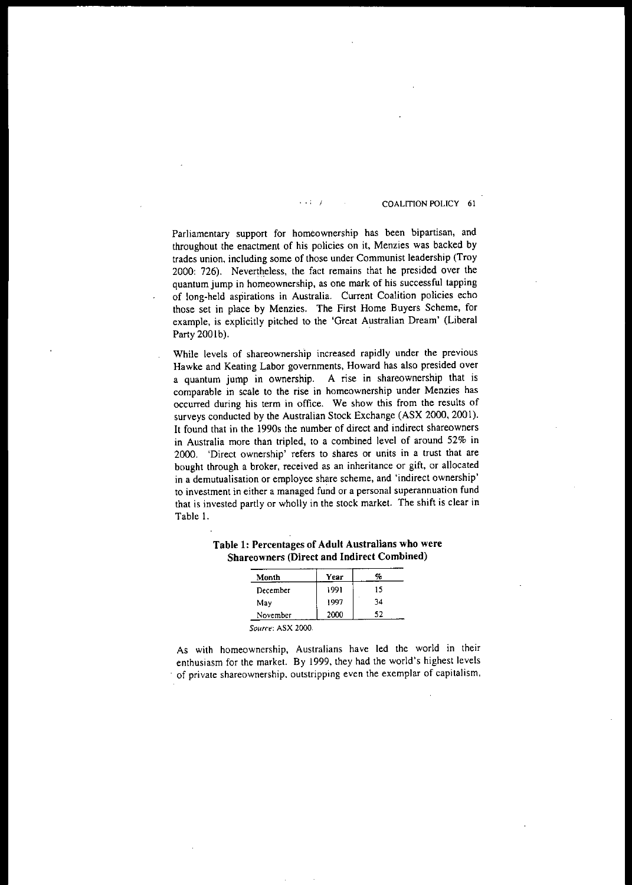#### · .: <sup>J</sup> COALITION POLICY <sup>61</sup>

Parliamentary support for homeownership has been bipartisan, and throughout the enactment of his policies on it, Menzies was backed by trades union, including some of those under Communist leadership (Troy 2000: 726). Nevertheless, the fact remains that he presided over the quantum jump in homeownership, as one mark of his successful tapping of long-held aspirations in Australia. Current Coalition policies echo those set in place by Menzies. The First Home Buyers Scheme, for example, is explicitly pitched to the 'Great Australian Dream' (Liberal Party 200Ib).

**While levels of shareownersh"ip increased rapidly under the previous** Hawke and Keating Labor governments, Howard has also presided over a quantum jump in ownership. A rise in shareownership that is **comparable in scale to the rise in homeownership under Menzies has occurred during his term in office. We show this from the results of** surveys conducted by the Australian Stock Exchange (ASX 2000, 2001). It found that in the 1990s the number of direct and indirect shareowners in Australia more than tripled, to a combined level of around 52% in **2000. 'Direct ownership' refers to shares or units in a trust that are** bought through a broker, received as an inheritance or gift, or allocated  $\mathbf{i}$  **n** a demutualisation or employee share scheme, and 'indirect ownership' **to investment in either a managed fund or a personal superannuation fund** that is invested partly or wholly in the stock market. The shift is clear in Table 1.

| Month    | Year | %  |
|----------|------|----|
| December | 1991 | 15 |
| May      | 1997 | 34 |
| November | 2000 | 52 |

## Table 1: Percentages of Adult Australians who were Shareowners (Direct and Indirect Combined)

As with homeownership, Australians have led the world in their enthusiasm for the market. By 1999, they had the world's highest levels **of private shareownership. outstripping even the exemplar of capitalism,**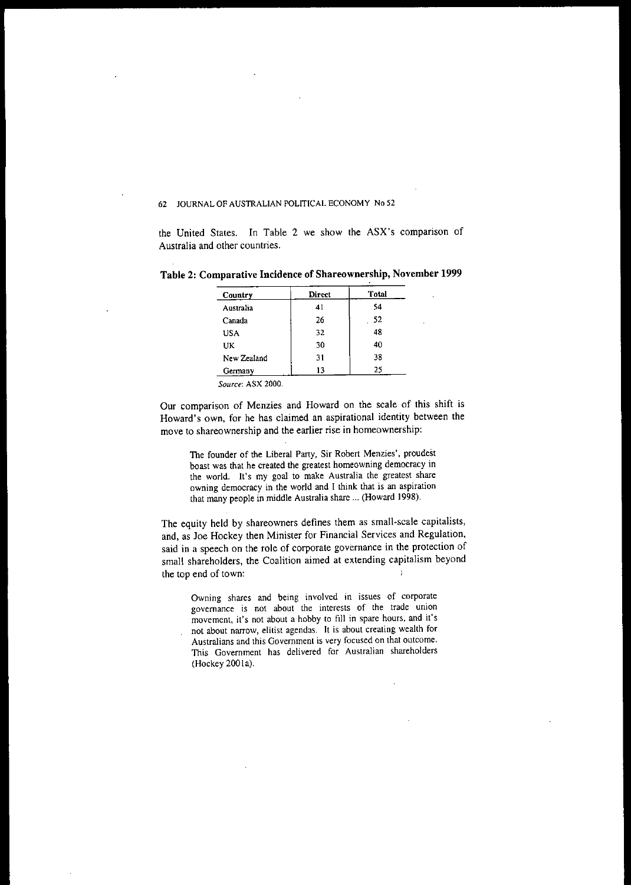the United States. In Table 2 we show the ASX's comparison of Australia and other countries.

| Country     | Direct | <b>Total</b> |
|-------------|--------|--------------|
| Australia   | 41     | 54           |
| Canada      | 26     | 52           |
| <b>USA</b>  | 32     | 48           |
| UK          | 30     | 40           |
| New Zealand | 31     | 38           |
| Germany     | 13     | 25           |

Table 2: Comparative Incidence of Shareownership, November 1999

*Source:* **ASX 2000.**

Our comparison of Menzies and Howard on the scale of this shift is Howard's own, for he has claimed an aspirational identity between the **move to shareownership and the earlier rise in homeownership:**

**The founder of the Liberal Party, Sir Robert Menzies', proudest boast was that he created the greatest horneowning democracy in the world. It's my goal to make Australia the greatest share owning democracy in the world and I think that is an aspiration** that many people in middle Australia share ... (Howard 1998).

The equity held by shareowners defines them as small-scale capitalists. and, as loe Hockey then Minister for Financial Services and Regulation, said in a speech on the role of corporate governance in the protection of small shareholders, the Coalition aimed at extending capitalism beyond the top end of town:

**Owning shares and being involved in issues of corporate governance is not about the interests of the trade union movement, it's not about a hobby to fill in spare hours, and it's not about narrow, elitist agendas. It is about creating wealth for Australians and this Government is very focused on that outcome. This Government has delivered for Australian shareholders** (Hockey 2001a).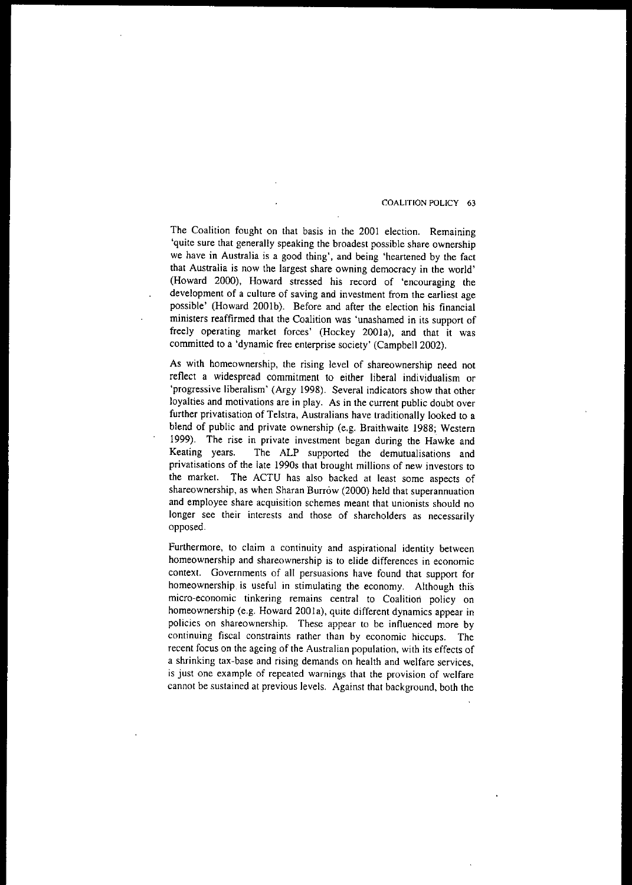#### COALITION POLICY 63

The Coalition fought on that basis in the 2001 election. Remaining 'quite sure that generally speaking the broadest possible share ownership we have in Australia is a good thing', and being 'heartened by the fact that Australia is now the largest share owning democracy in the world' (Howard 2000), Howard stressed his record of 'encouraging the **development of a culture of saving and investment from the earliest age** possible' (Howard 2001b). Before and after the election his financial ministers reaffirmed that the Coalition was 'unashamed in its support of freely operating market forces' (Hockey 2001a), and that it was committed to a 'dynamic free enterprise society' (Campbell 2002).

As with homeownership, the rising level of shareownership need not reflect a widespread commitment to either liberal individualism or 'progressive liberalism' (Argy 1998). Several indicators show that other loyalties and motivations are in play. As in the current public doubt over further privatisation of Telstra, Australians have traditionally looked to a blend of public and private ownership (e.g. Braithwaite 1988; Western 1999). The rise in private investment began during the Hawke and Keating years. The ALP supported the demutualisations and privatisations of the late 1990s that brought millions of new investors to the market. The ACTU has also backed at least some aspects of shareownership, as when Sharan Burrow (2000) held that superannuation **and employee share acquisition schemes meant that unionists should no longer see their interests and those of shareholders as necessarily** opposed.

Furthermore, to claim a continuity and aspirational identity between **homeownership and shareownership is to elide differences in economic** context. Governments of all persuasions have found that support for homeownership is useful in stimulating the economy. Although this **micro-economic tinkering remains central to Coalition policy on** homeownership (e.g. Howard 200Ia), quite different dynamics appear in **policies on shareownership. These appear to be influenced more by continuing fiscal constraints rather than by economic hiccups. The** recent focus on the ageing of the Australian population, with its effects of **a shrinking tax-base and rising demands on health and welfare services, is just one example of repeated warnings that the provision of welfare** cannot be sustained at previous levels. Against that background, both the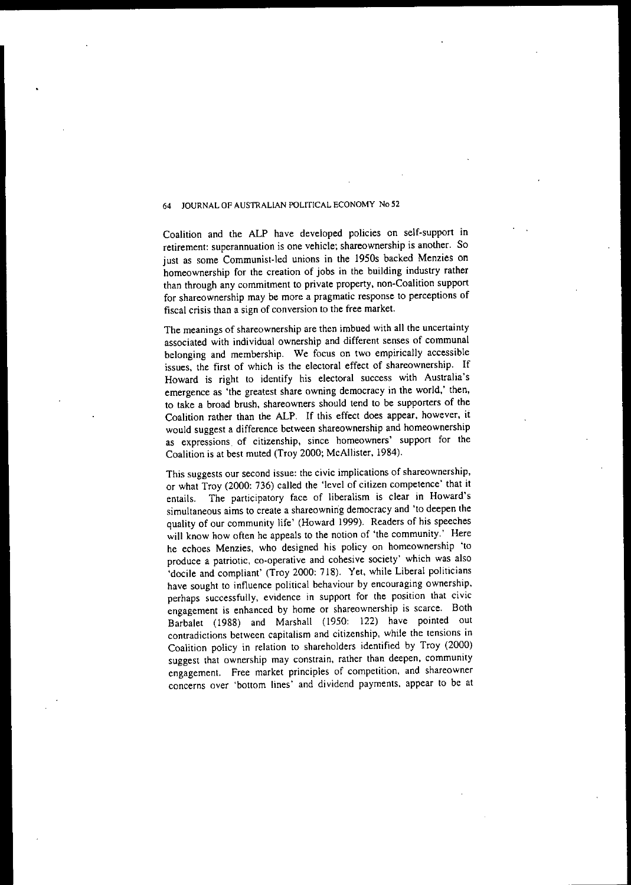Coalition and the ALP have developed policies on self-support in **retirement: superannuation is one vehicle; shareownership is another. So** just as some Communist-led unions in the 19S0s backed Menzies on homeownership for the creation of jobs in the building industry rather than through any commitment to private property, non-Coalition support **for shareownership may be more a pragmatic response to perceptions of fiscal crisis than a sign of conversion to the free market.**

**The meanings of shareownership are then imbued with all the uncertainty** associated with individual ownership and different senses of communal belonging and membership. We focus on two empirically accessible issues, the first of which is the electoral effect of shareownership. If Howard is right to identify his electoral success with Australia's emergence as 'the greatest share owning democracy in the world,' then, to take a broad brush, shareowners should tend to be supporters of the Coalition rather than the ALP. If this effect does appear, however, it would suggest a difference between shareownership and homeownership **as expressions. of citizenship, since homeowners' support for the** Coalition is at best muted (Troy 2000; McAllister, 1984).

**This suggests our second issue: the civic implications of shareownership,** or what Troy (2000: 736) called the 'level of citizen competence' that it entails. The participatory face of liberalism is clear in Howard's **simultaneous aims to create a shareownirig democracy and 'to deepen the** quality of our community life' (Howard 1999). Readers of his speeches will know how often he appeals to the notion of 'the community.' Here he echoes Menzies, who designed his policy on homeownership 'to **produce a patriotic, co-operative and cohesive society' which was also** 'docile and compliant' (Troy 2000: 718). Yet, while Liberal politicians **have sought to influence political behaviour by encouraging ownership, perhaps successfully, evidence in support for the position that civic** engagement is enhanced by home or shareownership is scarce. Both Barbalet (1988) and Marshall (1950: 122) have pointed out **contradictions between capitalism and citizenship, while the tensions in** Coalition policy in relation to shareholders identified by Troy (2000) **suggest that ownership may constrain, rather than deepen, community** engagement. Free market principles of competition, and shareowner concerns over 'bottom lines' and dividend payments, appear to be at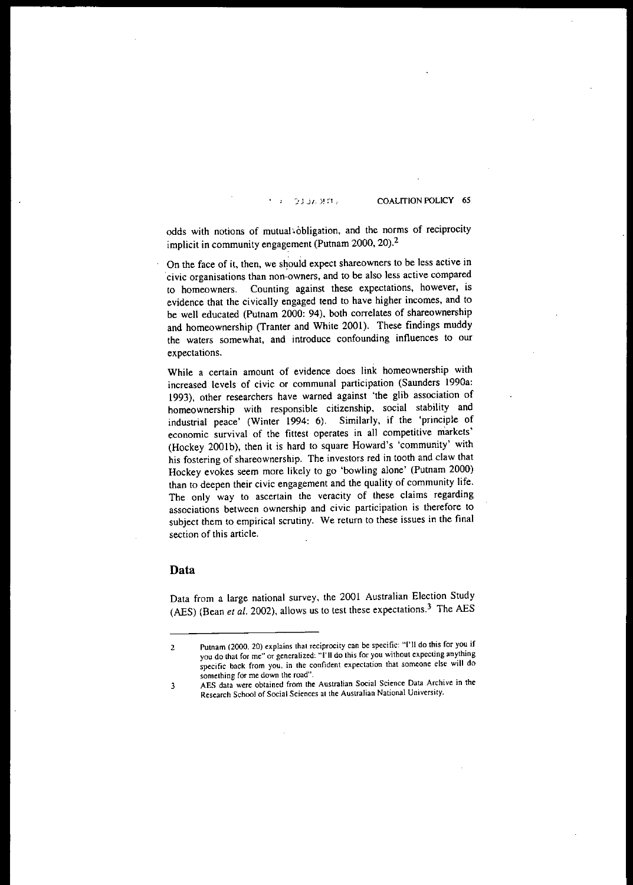#### $0.3373777$

COALITION POLICY 6S

odds with notions of mutual obligation, and the norms of reciprocity implicit in community engagement (Putnam 2000, 20).2

On the face of it, then, we should expect shareowners to be less active in **"civic organisations than non-owners, and to be also less active compared to homeowners. Counting against these expectations. however, is** evidence that the civically engaged tend to have higher incomes, and to be well educated (Putnam 2000: 94), both correlates of shareownership and homeownership (Tranter and White 2001). These findings muddy **the waters somewhat, and introduce confounding influences to our expectations.**

**While a certain amount of evidence does link homeownership with** increased levels of civic or communal participation (Saunders 1990a: 1993), other researchers have warned against 'the glib association of homeownership with responsible citizenship, social stability and industrial peace' (Winter 1994: 6). Similarly, if the 'principle of **economic survival of the fittest operates in all competitive markets'** (Hockey 2001b), then it is hard to square Howard's 'community' with **his fostering of shareownership. The investors red in tooth and claw that** Hockey evokes seem more likely to go 'bowling alone' (Putnam 2000) than to deepen their civic engagement and the quality of community life. The only way to ascertain the veracity of these claims regarding **associations between ownership and civic participation is therefore to subject them to empirical scrutiny. We return to these issues in the final section of this article.**

#### **Data**

Data from a large national survey, the 2001 Australian Election Study (AES) (Bean et al. 2002), allows us to test these expectations.<sup>3</sup> The AES

**<sup>2</sup> Putnam (2000. 20) explains that reciprocity can be specific: "I'U do this for you if you do that for me" or generalized: "I'll do this for you without expecting anything specific back from you. in the confident expectation that someone else will do something for me down the road",**

**<sup>3</sup> AES data were obtained from the Australian Social Science Data Archive in the Research School of Social Sciences al the Australian National University.**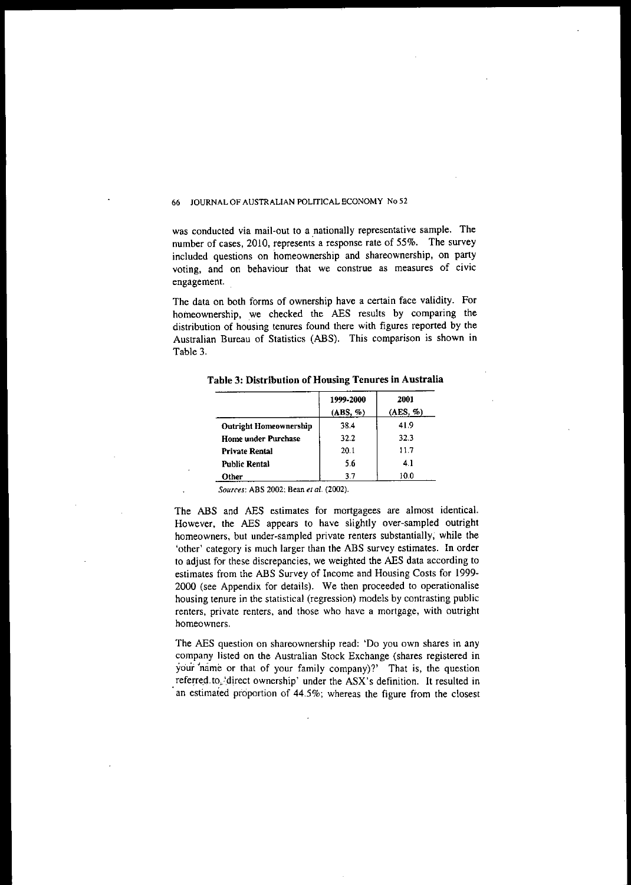**was conducted via mail-out to a .nationally representative sample. The** number of cases, 2010, represents a response rate of 55%. The survey included questions on homeownership and shareownership, on party **voting, and on behaviour that we construe as measures of civic** engagement.

The data on both forms of ownership have a certain face validity. For homeownership, we checked the AES results by comparing the distribution of housing tenures found there with figures reported by the Australian Bureau of Statistics (ABS). This comparison is shown in Table 3.

**Tahle 3: Distribution of Housing Tenures in Australia**

|                        | 1999-2000<br>(ABS, %) | 2001<br>(AES, %) |
|------------------------|-----------------------|------------------|
| Outright Homeownership | 38.4                  | 41.9             |
| Home under Purchase    | 32.2                  | 32.3             |
| Private Rental         | 20.1                  | 11.7             |
| Public Rental          | 5.6                   | 4.1              |
| Other                  | 3.7                   | 10.0             |

*Sources:* **ABS 2002; Bean** *et al. (2002).*

The ABS and AES estimates for mortgagees are almost identical. However, the AES appears to have slightly over-sampled outright homeowners, but under-sampled private renters substantially, while the 'other' category is much larger than the ABS survey estimates. In order to adjust for these discrepancies, we weighted the AES data according to estimates from the ABS Survey of Income and Housing Costs for 1999- 2000 (see Appendix for details). We then proceeded to operationalise housing tenure in the statistical (regression) models by contrasting public **renters, private renters, and those who have a mortgage, with outright homeowners.**

**The AES question on shareownership read: 'Do you own shares in any** company listed on the Australian Stock Exchange (shares registered in your 'name or that of your family company)?' That is, the question referred to, 'direct ownership' under the ASX's definition. It resulted in an estimated proportion of 44.5%; whereas the figure from the closest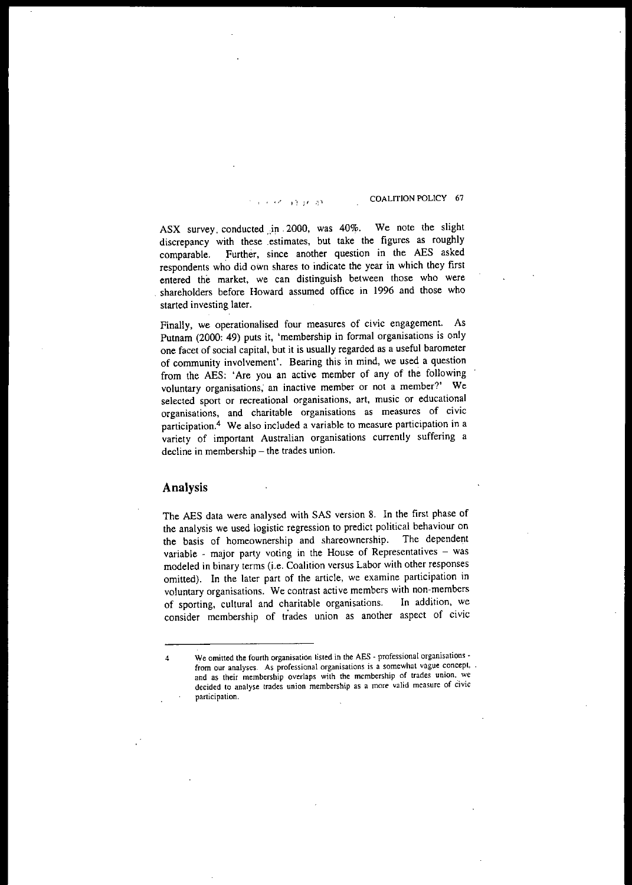$\frac{1}{2}$ ,  $\frac{1}{2}$ ,  $\frac{1}{2}$ ,  $\frac{1}{2}$ ,  $\frac{1}{2}$ ,  $\frac{1}{2}$ ,  $\frac{1}{2}$ ,  $\frac{1}{2}$ ,  $\frac{1}{2}$ ,  $\frac{1}{2}$ ,  $\frac{1}{2}$ ,  $\frac{1}{2}$ ,  $\frac{1}{2}$ ,  $\frac{1}{2}$ ,  $\frac{1}{2}$ ,  $\frac{1}{2}$ ,  $\frac{1}{2}$ ,  $\frac{1}{2}$ ,  $\frac{1}{2}$ ,  $\frac{1}{2}$ ,

ASX survey conducted in 2000, was 40%. We note the slight discrepancy with these .estimates, but take the figures as roughly comparable. Further, since another question in the AES asked respondents who did own shares to indicate the year in which they first **entered the market, we can distinguish between those who were** . shareholders before Howard assumed office in 1996 and those who started investing later.

Finally, we operationalised four measures of civic engagement. As Putnam (2000: 49) puts it, 'membership in formal organisations is only one facet of social capital, but it is usually regarded as a useful barometer of community involvement'. Bearing this in mind, we used a question from the AES: 'Are you an active member of any of the following **voluntary organisations; an inactive member or not a member?' We selected sport or recreational organisations, art. music or educational organisations, and charitable organisations as measures of civic participation.4 We also included a variable to measure participation in a** variety of important Australian organisations currently suffering a decline in membership - the trades union.

### **Analysis**

The AES data were analysed with SAS version 8. In the first phase of the analysis we used logistic regression to predict political behaviour on the basis of homeownership and shareownership. The dependent the basis of homeownership and shareownership. **variable - major party voting in the House of Representatives - was** modeled in binary terms (i.e. Coalition versus Labor with other responses omitted). In the later part of the article, we examine participation in voluntary organisations. **We contrast active members with non-members** of sporting, cultural and charitable organisations. In addition, we consider membership of trades union as another aspect of civic

**<sup>4</sup> We omitted the fourth organisation lisled in the AgS - professional organisations from our analyses. As professional organisations is a somewhat vague concept, and as their membership overlaps with the membership of trades union. we decided to analyse trades union membership as a more valid measure of Civic participation.**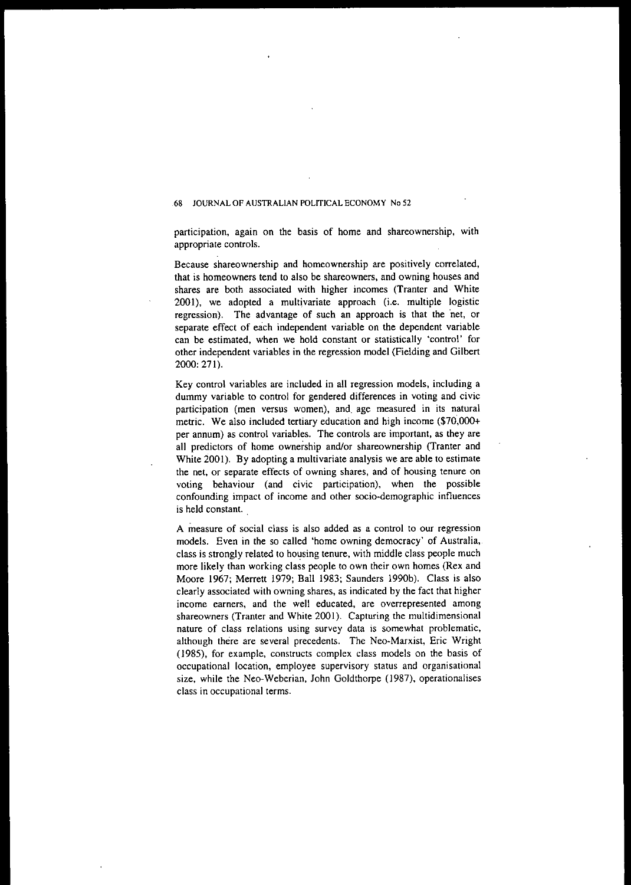participation, again on the basis of home and shareownership. with appropriate controls.

**Because shareownership and homeownership are positively correlated,** that is homeowners tend to also be shareowners, and owning houses and shares are both associated with higher incomes (Tranter and White 2001). we adopted a multivariate approach (i.e. multiple logistic regression). The advantage of such an approach is that the 'net. or separate effect of each independent variable on the dependent variable **can be estimated, when we hold constant or statistically 'control' for** other independent variables in the regression model (Fielding and Gilbert 2000: 271).

**Key control variables are included in all regression models, including a dummy variable to control for gendered differences in voting and civic** participation (men versus women). and, age measured in its natural metric. We also included tertiary education and high income (\$70.000+ per annum) as control variables. The controls are important. as they are all predictors of home ownership and/or shareownership (Tranter and White 2001). By adopting a multivariate analysis we are able to estimate **the net, or separate effects of owning shares, and of housing tenure on** voting behaviour (and civic participation). when the possible **confounding impact of income and other socio-demographic influences** is held constant.

**A measure of social class is also added as a control to our regression** models. Even in the so called 'home owning democracy' of Australia, class is strongly related to housing tenure, with middle class people much more likely than working class people to own their own homes (Rex and Moore 1967; Merrett 1979; Ball 1983; Saunders 1990b). Class is also clearly associated with owning shares, as indicated by the fact that higher **income earners, and the well educated, are overrepresented among** shareowners (Tranter and White 2001). Capturing the multidimensional **nature of class relations using survey data is somewhat problematic,** although there are several precedents. The Neo-Marxist, Eric Wright (1985), for example, constructs complex class models on the basis of **occupational location, employee supervisory status and organisational** size, while the Neo-Weberian, John Goldthorpe (1987), operationalises **class in occupational terms.**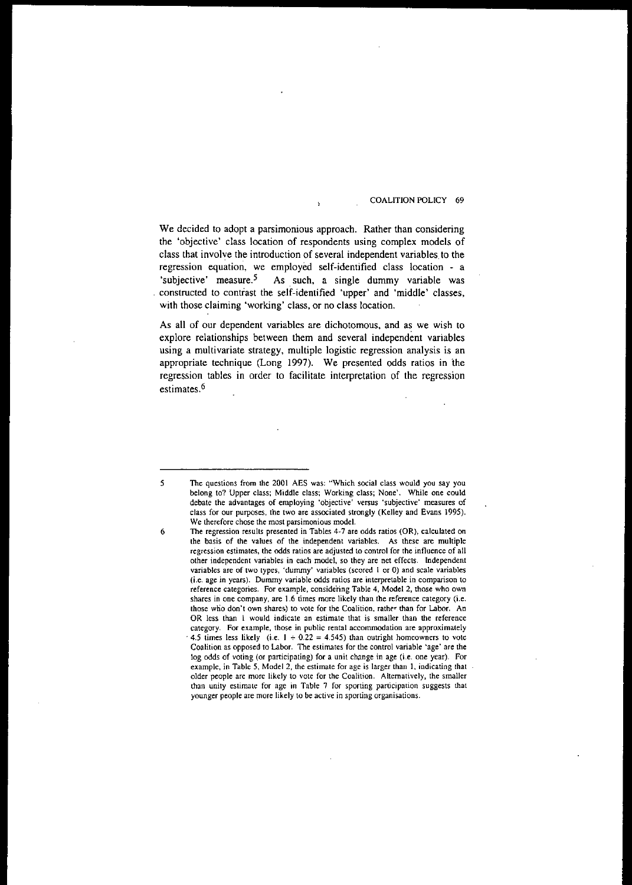#### COALITION POLICY 69

We decided to adopt a parsimonious approach. Rather than considering the 'objective' class location of respondents using complex models of class that involve the introduction of several independent variables to the regression equation, we employed self-identified class location - a 'subjective' measure.<sup>5</sup> As such, a single dummy variable was constructed to contrast the self-identified 'upper' and 'middle' classes, with those claiming 'working' class, or no class location.

As all of our dependent variables are dichotomous, and as we wish to explore relationships between them and several independent variables using a multivariate strategy, multiple Ingistic regression analysis is an appropriate technique (Long 1997). We presented odds ratios in the regression tables in order to facilitate interpretation of the regression estimates.<sup>6</sup>

<sup>5</sup> The questions from the 2001 AES was: "Which social class would you say you belong to? Upper class; Middle class; Working class; None'. While one could debate the advantages of employing 'objective' versus 'subjective' measures of class for our purposes, the two are associated strongly (Kelley and Evans 1995). We therefore chose the most parsimonious model.

<sup>6</sup> The regression results presented in Tables 4·7 are odds ratios (OR), calculated on the basis of the values of the independent variables. As these are multiple regression estimates, the odds ratios are adjusted to control for the influence of all other independent variables in each model, so they are net effects. Independent variables are of two types, 'dummy' variables (scored I or 0) and scale variables (i.e. age in years). Dummy variable odds ratios are interpretable in comparison to reference categories. For example, considering Table 4, Model 2, those who own shares in one company, are 1.6 times more likely than the reference category (i.e. those who don't own shares) to vote for the Coalition, rather than for Labor. An OR less than 1 would indicate an estimate that is smaller than the reference category. For example, those in public rental accommodation are approximately 4.5 times less likely (i.e.  $1 \div 0.22 = 4.545$ ) than outright homeowners to vote Coalition as opposed to Labor. The estimates for the control variable 'age' are the log odds of voting (or participating) for a unit change in age (i.e. one year). For example, in Table 5, Model 2, the estimate for age is larger than 1, indicating that older people are more likely to vote for the Coalition. Alternatively, the smaller than unity estimate for age in Table 7 for sporting participation suggests that younger people are more likely to be active in sporting organisations.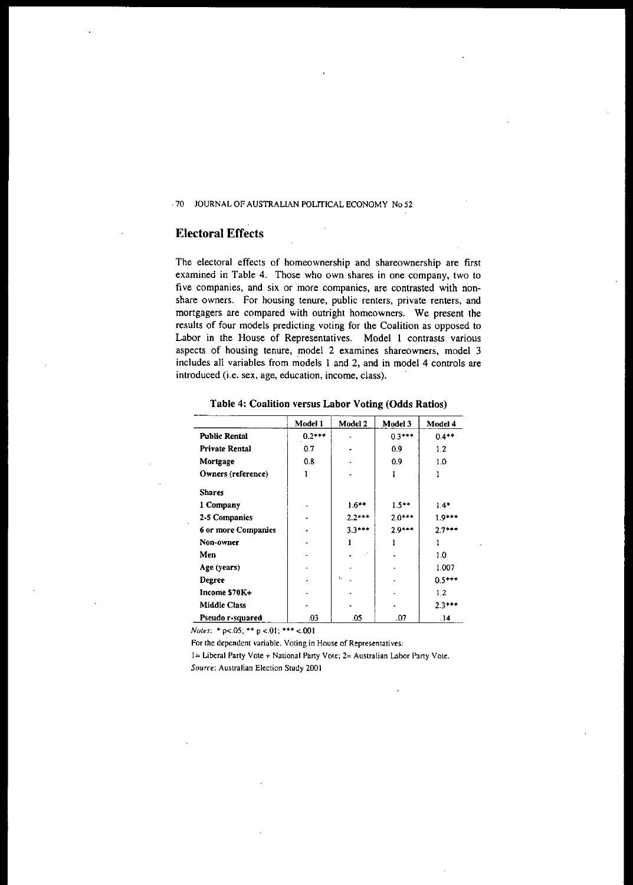## Electoral Effects

The electoral effects of homeownership and shareownership are first examined in Table 4. Those who own shares in one company, two to five companies, and six or more companies, are contrasted with nonshare owners. For housing tenure, public renters, private renters, and mortgagers are compared with outright homeowners. We present the results of four models predicting voting for the Coalition as opposed to Labor in the House of Representatives. Model 1 contrasts various aspects of housing tenure, model 2 examines shareowners, model 3 includes all variables from models 1 and 2, and in model 4 controls are introduced (i.e. sex, age, education, income, class).

|                       | Model 1  | Model 2  | Model 3  | Model 4  |
|-----------------------|----------|----------|----------|----------|
| <b>Public Rental</b>  | $0.2***$ |          | $0.3***$ | $0.4**$  |
| <b>Private Rental</b> | 0.7      |          | 09       | 1.2      |
| Mortgage              | 0.8      |          | 0.9      | 1.0      |
| Owners (reference)    |          |          |          |          |
| <b>Shares</b>         |          |          |          |          |
| 1 Company             |          | $1.6***$ | $1.5***$ | $1.4*$   |
| 2-5 Companies         |          | $2.2***$ | $2.0***$ | $1.9***$ |
| 6 or more Companies   |          | $3.3***$ | $2.9***$ | $2.7***$ |
| Non-owner             |          |          |          |          |
| Men                   |          |          |          | 1.0      |
| Age (years)           |          |          |          | 1.007    |
| Degree                |          | ٠.       |          | $0.5***$ |
| Income \$70K+         |          |          |          | 1.2      |
| <b>Middle Class</b>   |          |          |          | $2.3***$ |
| Pseudo r-squared      | .03      | .05      | .07      | .14      |

Table 4: Coalition versus Labor Voting (Odds Ratios)

*Notes:* \* p<.05; \*\* p <.01; \*\*\* <.001

For the dependent variable, Voting in House of Representatives:

1= Liberal Party Vote + National Party Vote; 2= Australian Labor Party Vote.

*Source:* Australian Election Study 2001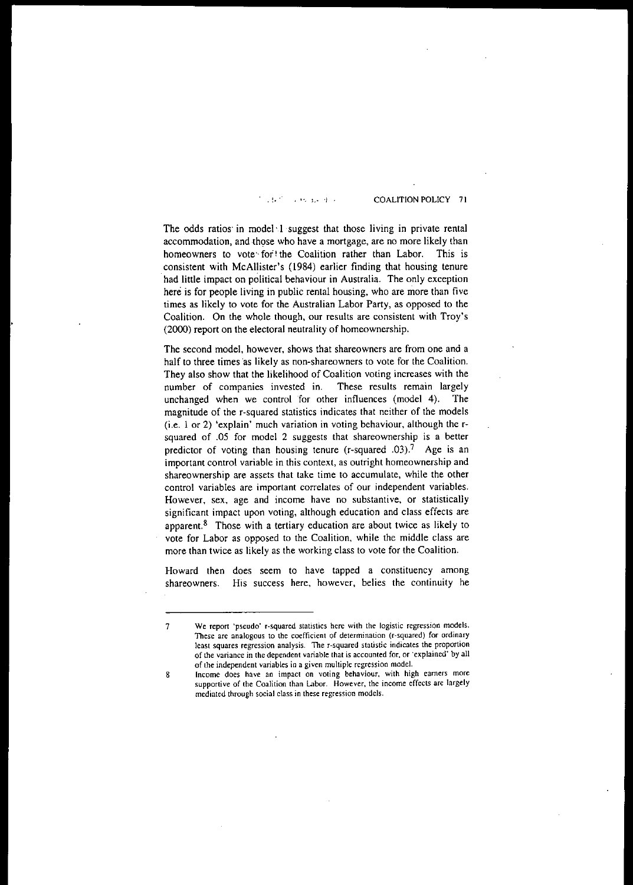, ~. ", **L-** COALITION POLICY 7 I

The odds ratios in model 1 suggest that those living in private rental accommodation, and those who have a mortgage, are no more likely than homeowners to vote for! the Coalition rather than Labor. This is consistent with McAllister's (1984) earlier finding that housing tenure had little impact on political behaviour in Australia. The only exception here is for people living in public rental housing, who are more than five times as likely to vote for the Australian Labor Party, as opposed to the **Coalition. On the whole though, our results are consistent with Troy's** (2000) report on the electoral neutrality of homeownership.

**The second model, however, shows that shareowners are from one and a** half to three times 'as likely as non-shareowners to vote for the Coalition. They also show that the likelihood of Coalition voting increases with the **number of companies invested in. These results remain largely** unchanged when we control for other influences (model 4). The magnitude of the r-squared statistics indicates that neither of the models (i.e. 1 or 2) 'explain' much variation in voting behaviour, although the rsquared of .05 for model 2 suggests that shareownership is a better predictor of voting than housing tenure (r-squared  $.03$ ).<sup>7</sup> Age is an **important control variable in this context, as outright homeownership and shareownership are assets that take time to accumulate, while the other control variables are important correlates of our independent variables. However, sex. age and income have no substantive, or statistically significant impact upon voting, although education and class effects are** apparent. $8$  Those with a tertiary education are about twice as likely to vote for Labor as opposed to the Coalition, while the middle class are more than twice as likely as the working class to vote for the Coalition.

**Howard then does seem to have tapped a constituency among shareowners. His success here, however, belies the continuity he**

**<sup>7</sup> We report 'pseudo' r-squared statistics here with the logistic regression models. These are analogous to the coefficient of determination (r-squared) for ordinary least squares regression analysis. The r-squared statistic indicates the proportion of the variance in the dependent variable thal is accounted for, or 'explained'** by all **of the independent variables in a given multiple regression model.**

**<sup>8</sup> Income does have an impact on voting behaviour, with high earners more supportive of the Coalition than Labor. However, the income effects are largely mediated through social class in these regression models.**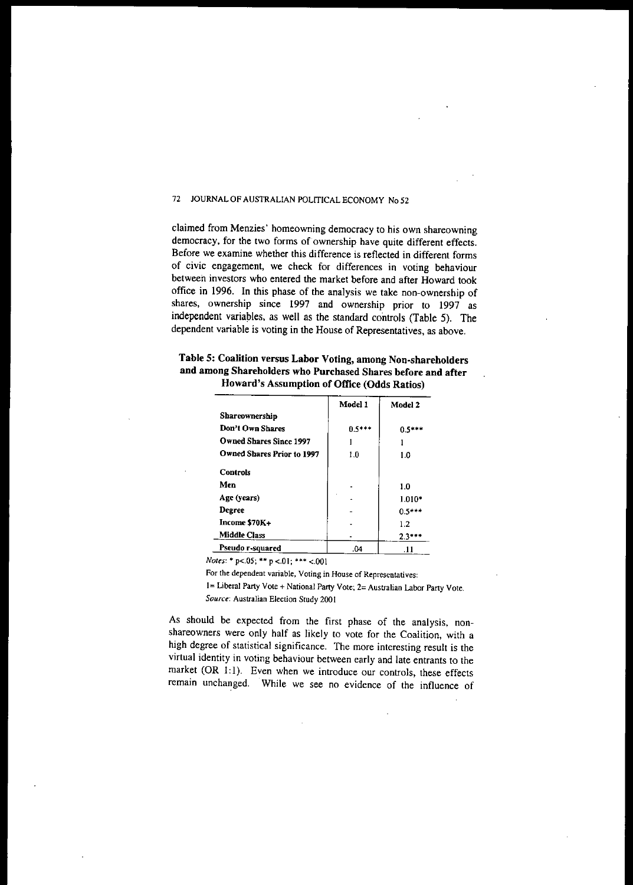claimed from Menzies' homeowning democracy to his own shareowning democracy, for the two forms of ownership have quite different effects. Before we examine whether this difference is reflected in different forms of civic engagement, we check for differences in voting behaviour between investors who entered the market before and after Howard took office in 1996. In this phase of the analysis we take non-ownership of shares, ownership since 1997 and ownership prior to 1997 as independent variables, as well as the standard controls (Table 5). The dependent variable is voting in the House of Representatives, as above.

|                                   | Model 1  | Model 2  |
|-----------------------------------|----------|----------|
| Shareownership                    |          |          |
| Don't Own Shares                  | $0.5***$ | በ ና***   |
| <b>Owned Shares Since 1997</b>    |          |          |
| <b>Owned Shares Prior to 1997</b> | 1.0      | 1.0      |
| <b>Controls</b>                   |          |          |
| Men                               |          | 1.0      |
| Age (years)                       |          | $1.010*$ |
| Degree                            |          | $0.5***$ |
| Income \$70K+                     |          | 1.2      |
| <b>Middle Class</b>               |          | 2.3***   |

Table S: Coalition versus Labor Voting, among Non-shareholders and among Shareholders who Purchased Shares before and after

*Notes:* \* p<.05; \*\* p <.01; \*\*\* <.001

For the dependent variable, Voting in House of Representatives:

Pseudo r-squared 1 .04 .04 .11

1= Liberal Party Vote + National Party Vote; 2= Australian Labor Party Vote. *Source:* Australian Election Study 2001

As should be expected from the first phase of the analysis, nonshareowners were only half as likely to vote for the Coalition, with a high degree of statistical significance. The more interesting result is the virtual identity in voting behaviour between early and late entrants to the market  $(OR 1:1)$ . Even when we introduce our controls, these effects remain unchanged. While we see no evidence of the influence of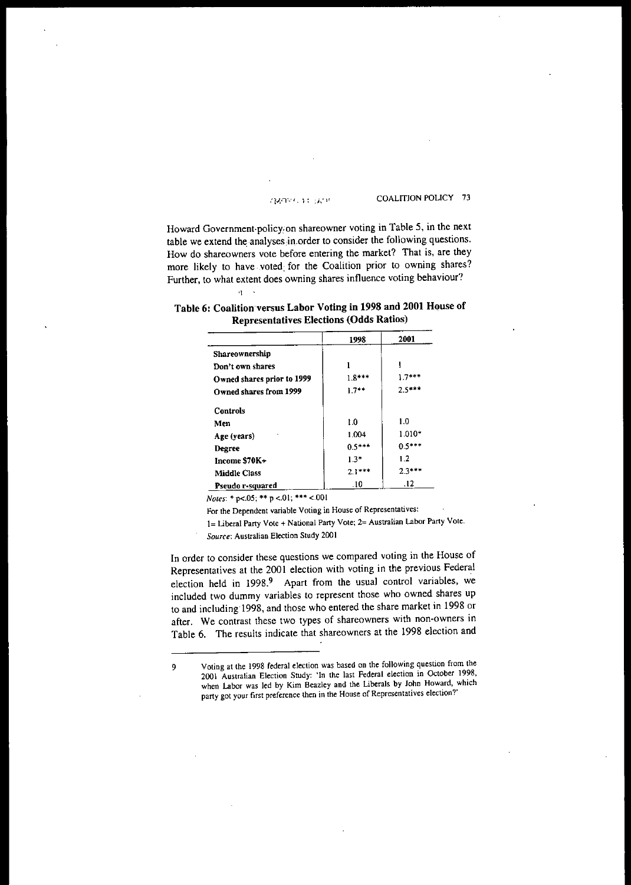#### **MORE DE DOP**

COALITION POLICY 73

Howard Government·policy,on shareowner voting in Table 5, in the next table we extend the analyses in order to consider the following questions. **How do shareowners vote before entering the market? That is, are they** more likely to have voted for the Coalition prior to owning shares? Further, to what extent does owning shares influence voting behaviour? .,

|                            | 1998     | 2001            |
|----------------------------|----------|-----------------|
| Shareownership             |          |                 |
| Don't own shares           |          |                 |
| Owned shares prior to 1999 | $1.8***$ | $17***$         |
| Owned shares from 1999     | $1.7**$  | $2.5***$        |
| <b>Controls</b>            |          |                 |
| Men                        | 1.0      | 1.0             |
| Age (years)                | 1.004    | $1.010*$        |
| Degree                     | $0.5***$ | $0.5***$        |
| Income \$70K+              | $1.3*$   | 1.2             |
| <b>Middle Class</b>        | $2.1***$ | $2.3***$        |
| Pseudo r-squared           | -10      | $\overline{12}$ |

| Table 6: Coalition versus Labor Voting in 1998 and 2001 House of |  |
|------------------------------------------------------------------|--|
| Representatives Elections (Odds Ratios)                          |  |

*Notes:* **... p<.05; \*\* p <.01; \*\*\* <.001**

**For the Dependent variable Voting in House of Representatives:**

**1= Liberal Party Vote + National Party Vote; 2= Australian Labor Party Vote.**

*Source:* **Australian Election Study 200 1**

**In order to consider these questions we compared voting in the House of** Representatives at the 2001 election with voting in the previous Federal election held in 1998.<sup>9</sup> Apart from the usual control variables, we included two dummy variables to represent those who owned shares up to and including'1998, and those who entered the share market in 1998 or **after. We contrast these two types of shareowners with non-owners in** Table 6. The results indicate that shareowners at the 1998 election and

**<sup>9</sup> Voting at the 1998 federal election was based on the following question from the 2001 Australian Election Study: 'In the last Federal election in October 1998, when Labor was led by Kim Beazley and the Liberals by John Howard, which party got your first preference then in the House of Representatives election?'**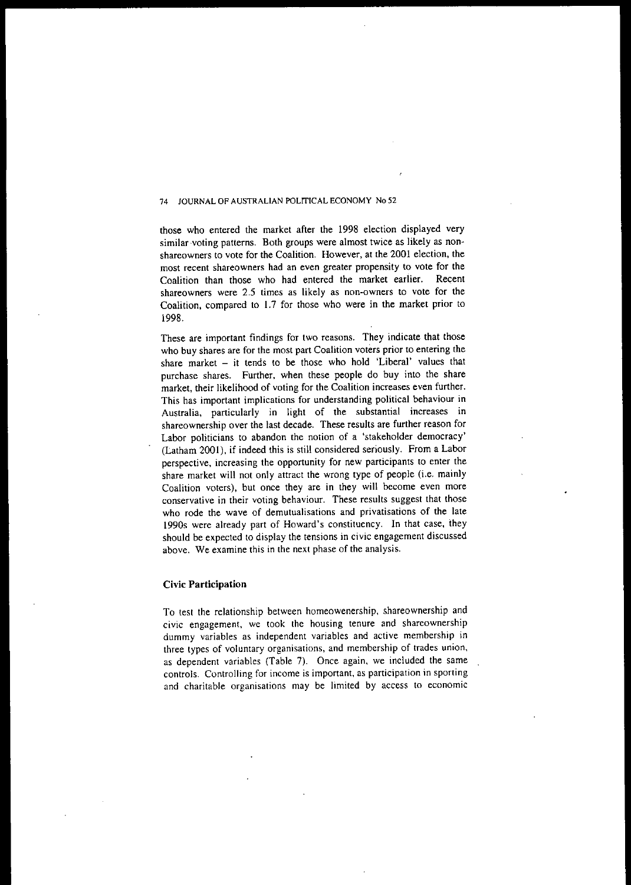those who entered the market after the 1998 election displayed very similar voting patterns. Both groups were almost twice as likely as non**shareowners to vote for the Coalition. However, at the 2001 election, the most recent shareowners had an even greater propensity to vote for the** Coalition than those who had entered the market earlier. Recent **shareowners were 2.5 times as likely as non-owners to vote for the** Coalition, compared to 1.7 for those who were in the market prior to 1998.

These are important findings for two reasons. They indicate that those **who buy shares are for the most part Coalition voters prior to entering the** share market  $-$  it tends to be those who hold 'Liberal' values that purchase shares. Further, when these people do buy into the share market, their likelihood of voting for the Coalition increases even further. **This has important implications for understanding political behaviour in** Australia, particularly in light of the substantial increases in **shareownership over the last decade. These results are further reason for** Labor politicians to abandon the notion of a 'stakeholder democracy' (Latham 2001), if indeed this is still considered seriously. From a Labor **perspective, increasing the opportunity for new participants to enter the** share market will not only attract the wrong type of people (i.e. mainly Coalition voters), but once they are in they will become even more **conservative in their voting behaviour. These results suggest that those who rode the wave of demutualisations and privatisations of the late** 1990s were already part of Howard's constituency. In that case, they should be expected to display the tensions in civic engagement discussed **above. We examine this in the next phase of the analysis.**

#### **Civic Participation**

To test the relationship between homeowenership, shareownership and **civic engagement, we took the housing tenure and shareownership dummy variables as independent variables and active membership in three types of voluntary organisations, and membership of trades union,** as dependent variables (Table 7). Once again, we included the same **controls. Controlling for income is important, as participation in sporting and charitable organisations may be limited by access to economic**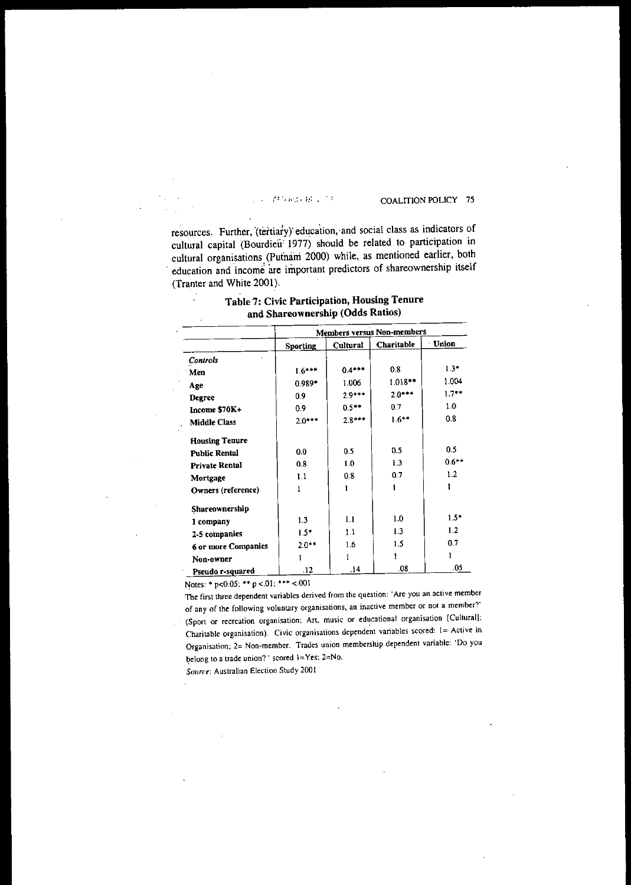### $G$  and  $H\subset \mathbb{R}^d$

#### COALITION POLICY 75

resources. Further, '(tertiary)' education,-and social class as indicators of cultural capital (Bourdieii 1977) should be related to participation in cultural organisations (Putnam 2000) while, as mentioned earlier, both education and income are important predictors of shareownership itself (Tranter and White 2001).

|                       | <b>Members versus Non-members</b> |          |            |              |
|-----------------------|-----------------------------------|----------|------------|--------------|
|                       | <b>Sporting</b>                   | Cultural | Charitable | <b>Union</b> |
| Controls              |                                   |          |            |              |
| Men                   | $1.6***$                          | $0.4***$ | 0.8        | $1.3*$       |
| Age                   | $0.989*$                          | 1.006    | $1.018**$  | 1.004        |
| <b>Degree</b>         | 0.9                               | $2.9***$ | $2.0***$   | $1.7**$      |
| Income \$70K+         | 0.9                               | $0.5***$ | 07         | 1.0          |
| <b>Middle Class</b>   | $2.0***$                          | $2.8***$ | $1.6***$   | 0.8          |
| <b>Housing Tenure</b> |                                   |          |            |              |
| <b>Public Rental</b>  | 0.0                               | 0.5      | 0.5        | 0.5          |
| <b>Private Rental</b> | 0.8                               | 1.0      | 1.3        | $0.6***$     |
| Mortgage              | 1.1                               | 0.8      | 0.7        | 1.2          |
| Owners (reference)    |                                   | ı        |            |              |
| Shareownership        |                                   |          |            |              |
| 1 company             | 13                                | 1.1      | 1.0        | $1.5*$       |
| 2-5 companies         | $1.5*$                            | 1.1      | 1.3        | 12           |
| 6 or more Companies   | $2.0***$                          | 1.6      | 1.5        | 0.7          |
| Non-owner             |                                   |          |            |              |
| Pseudo r-squared      | .12                               | .14      | .08        | .05          |

## Table 7: Civic Participation, Housing Tenure and Shareownership (Odds Ratios)

Notes: \* p<0.05; \*\* p < 01; \*\*\* <.001

J

The first three dependent variables derived from the question: 'Are you an active member of any of the following voluntary organisations, an inactive member or not a member?' (Sport or recreation organisation: Art. music or educational organisation [Cultural]; Charitable organisation). Civic organisations dependent variables scored: I= Active in Organisation; 2= Non-member. Trades union membership dependent variable: 'Do you belong to a trade union? ' scored  $1=Yes$ ; 2=No.

*Source*: Australian Election Study 2001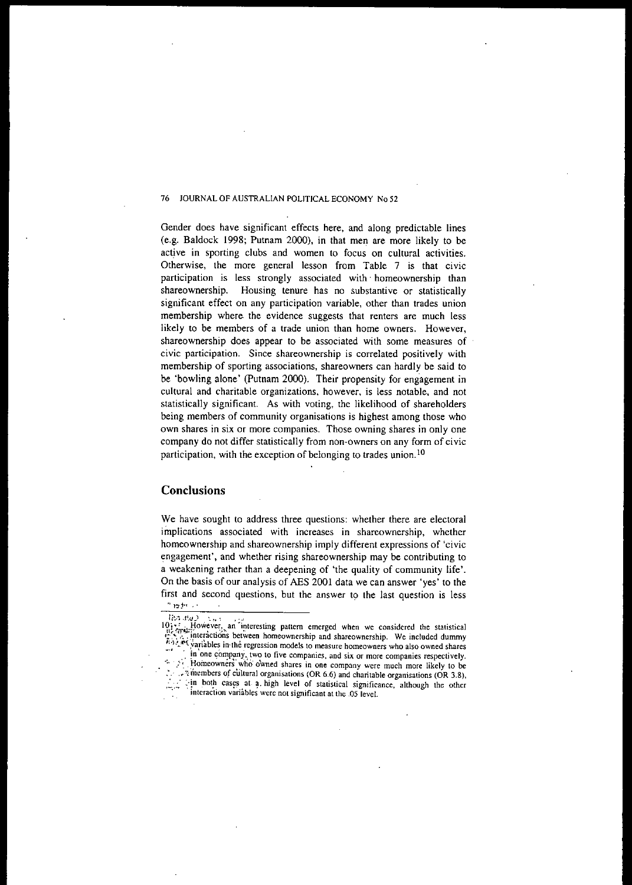Gender does have significant effects here, and along predictable lines (e.g. Baldock 1998; Putnam 2000), in that men are more likely to be active in sporting clubs and women to focus on cultural activities. Otherwise, the more general lesson from Table 7 is that civic participation is less strongly associated with' homeownership than shareownership. Housing tenure has no substantive or statistically significant effect on any participation variable, other than trades union membership where. the evidence suggests that renters are much less likely to be members of a trade union than home owners. However, shareownership does appear to be associated with some measures of civic participation. Since shareownership is correlated positively with membership of sporting associations, shareowners can hardly be said to be 'bowling alone' (Putnam 2000). Their propensity for engagement in cultural and charitable organizations, however, is less notable, and not statistically significant. As with voting, the likelihood of shareholders being members of community organisations is highest among those who own shares in six or more companies. Those owning shares in only one company do not differ statistically from non·owners on any form of civic participation, with the exception of belonging to trades union. IO

### Conclusions

We have sought to address three questions: whether there are electoral implications associated with increases in shareownership, whether homeownership and shareownership imply different expressions of 'civic engagement', and whether rising shareownership may be contributing to a weakening rather than a deepening of 'the quality of community life'. On the basis of our analysis of AES 2001 data we can answer 'yes' to the first and second questions, but the answer to the last question is less

The firms  $ln: ..002$  .

<sup>10.1.</sup> However, an interesting pattern emerged when we considered the statistical interactions between homeownership and shareownership. We included dummy  $k_1$ .  $k_2$  variables in the regression models to measure homeowners who also owned shares in one company, two to five companies, and six or more companies respectively.  $\therefore$ . Homeowners' who owned shares in one company were much more likely to be  $\therefore$  "members of cultural organisations (OR 6.6) and charitable organisations (OR 3.8) .~~ members of cuhural organisations (OR 6.6) and charitable organisations (OR 3.8),  $-$ in both cases at a high level of statistical significance, although the other . interaction variables were not significant at the .05 level.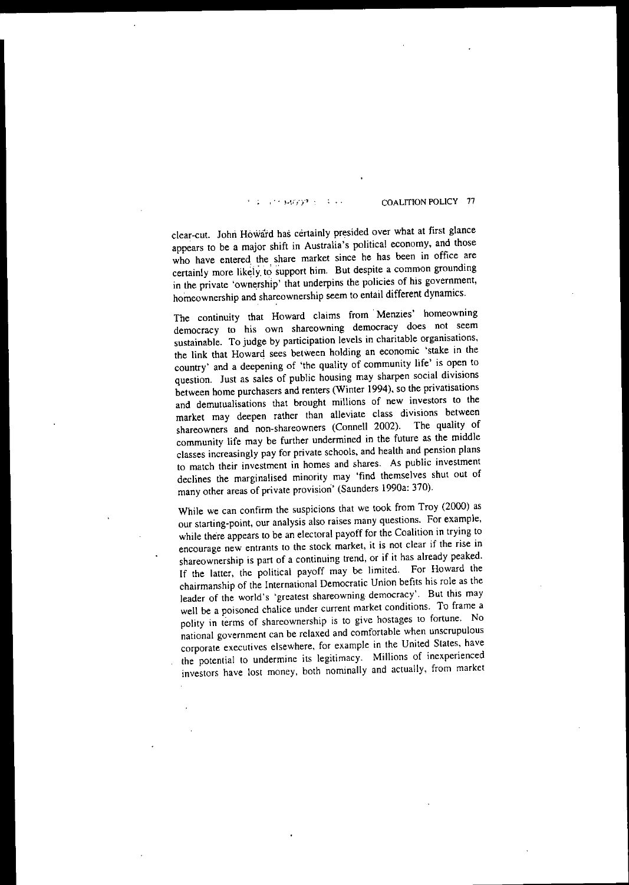#### COALITION POLICY 77  $\mathcal{L} \rightarrow \mathcal{L}$ **FINDERS**

clear-cut. John Howard has certainly presided over what at first glance appears to be a major shift in Australia's political economy, and those who have entered the share market since he has been in office are certainly more likely to support him. But despite a common grounding in the private 'ownership' that underpins the policies of his government, homeownership and shareownership seem to entail different dynamics.

The continuity that Howard claims from Menzies' homeowning **democracy to his own shareowning democracy does not seem sustainable. To judge by participation levels in charitable organisations,** the link that Howard sees between holding an economic 'stake in the country' and a deepening of 'the quality of community life' is open to question. Just as sales of public housing may sharpen social divisions between home purchasers and renters (Winter 1994), so the privatisations **and demutualisations that brought millions of new investors to the** market may deepen rather than alleviate class divisions between shareowners and non-shareowners (Connell 2002). The quality of community life may be further undermined in the future as the middle **classes increasingly pay for private schools, and health and pension plans to match their investment in homes and shares. As public investment** declines the marginalised minority may 'find themselves shut out of many other areas of private provision' (Saunders 1990a: 370).

While we can confirm the suspicions that we took from Troy (2000) as **our starting-point. our analysis also raises many questions. For example,** while there appears to be an electoral payoff for the Coalition in trying to **encourage new entrants to the stock market, it is not clear if the rise in** shareownership is part of a continuing trend, or if it has already peaked. If the latter, the political payoff may be limited. For Howard the chairmanship of the International Democratic Union befits his role as the **leader of the world's 'greatest shareowning democracy'. But this may well be a poisoned chalice under current market conditions. To frame a polity in terms of shareownership is to give hostages to fortune, No national government can be relaxed and comfortable when unscrupulous corporate executives elsewhere, for example in the United States, have the potential to undermine its legitimacy. Millions of inexperienced** investors have lost money, both nominally and actually, from market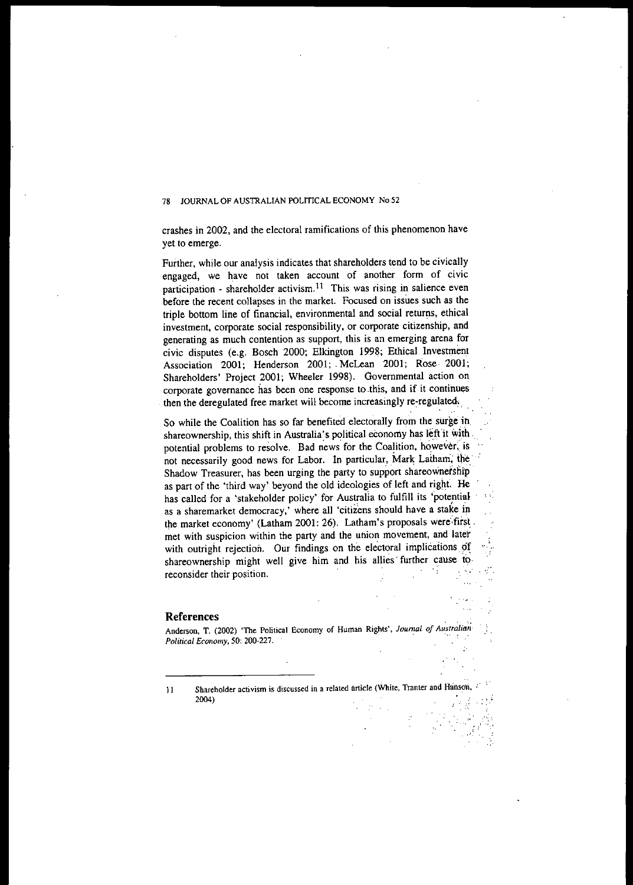crashes in 2002, and the electoral ramifications of this phenomenon have yet to emerge.

Further, while our analysis indicates that shareholders tend to be civically engaged, we have not taken account of another form of civic **participation - shareholder** activism. <sup>11</sup> **This was rising in salience even** before the recent collapses in the market. Focused on issues such as the triple bottom line of financial, environmental and social returns, ethical investment, corporate social responsibility, or corporate citizenship, and generating as much contention as support, this is an emerging arena for civic disputes (e.g. Bosch 2000; Elkington 1998; Ethical Investment Association 2001; Henderson 2001; McLean 2001; Rose 2001; Shareholders' Project 2001; Wheeler 1998). Governmental action on **corporate governance has been one response to .this, and if it continues** then the deregulated free market will become increasingly re-regulated,.

So while the Coalition has so far benefited electorally from the surge in. shareownership, this shift in Australia's political economy has left it with. potential problems to resolve. Bad news for the Coalition, however, is not necessarily good news for Labor. In particular, Mark Latham, the Shadow Treasurer, has been urging the party to support shareownership as part of the 'third way' beyond the old ideologies of left and right. He has called for a 'stakeholder policy' for Australia to fulfill its 'potential as a sharemarket democracy,' where all 'citizens should have a stake in the market economy' (Latham 2001: 26). Latham's proposals were first. met with suspicion within the party and the union movement, and later with outright rejection. Our findings on the electoral implications of shareownership might well give him and his allies' further cause to **reconsider their position. The interval of the interval of the interval of the interval of the interval of the interval of the interval of the interval of the interval of the interval of the interval of the interval of** 

#### **References**

Anderson, T. (2002) 'The Political Economy of Human Rights', *Journal of Australian*<br>Political Economy, 50: 200-227.

**<sup>11</sup> Shareholder** activism is discussed in a related article (White, Tranter and Hanson, in the 2004)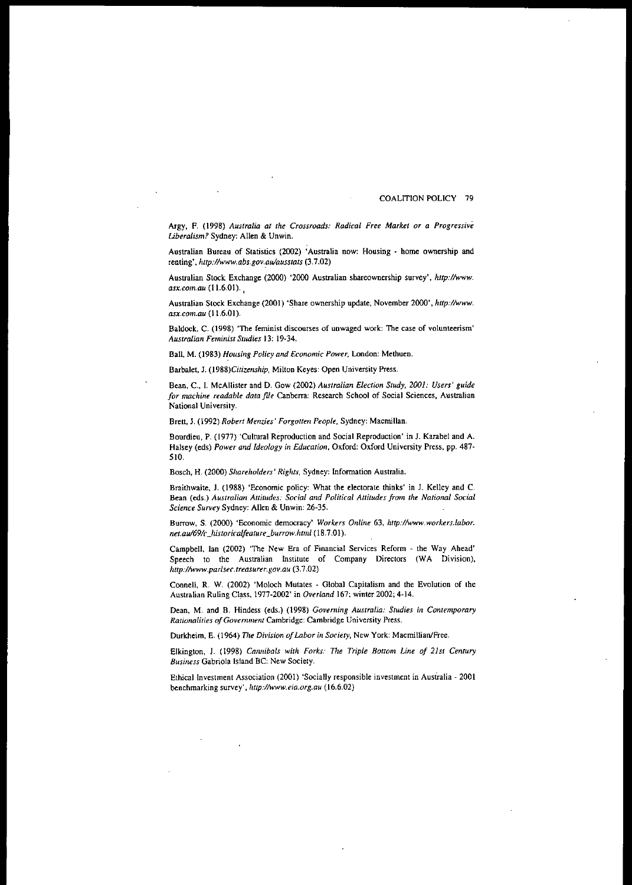#### COALITION POLICY 79

Argy, F. (1998) *Australia at tile Crossroads: Radical Free Market or a Progressive Uberalism?* Sydney: Alien & Unwin.

Australian Bureau of Statistics (2002) 'Australia now: Housing - home ownership and renting', *http://www.abs.gov.aulausstats(3.7.02)*

Australian Stock Exchange (2000) '2000 Australian shareownership survey', *http://www. asx.com.au* (11.6.01). ,

Australian Stock Exchange (2001) 'Share ownership update, November 2000', http://www. QSX.com.au (11.6.01).

Baldock, C. (1998) 'The feminist discourses of unwaged work: The case of volunteerism' *Australian Feminist Studies* 13: 19-34.

Ball, M. (1983) *Housing Policy and Economic Power,* London: Methuen.

Barbalet, J. (1988)Citizenship, Milton Keyes: Open University Press.

Bean. c., I. McAlIister and D. Gow (2002) *Australian Election Study, 2001: Users' guide for machine readable data file* Canberra: Research School of Social Sciences, Australian National University.

Brett, J. (1992) *Robert Menzies' Forgotten People*, Sydney: Macmillan.

Bourdieu, P. (1977) 'Cultural Reproduction and Social Reproduction' in J. Karabel and A. Halsey (eds) Power and Ideology in *Education*, Oxford: Oxford University Press, pp. 487-510.

Bosch, H. (2000) *Share/wlders' Rights,* Sydney: Information Australia.

Braithwaite, J. (1988) 'Economic policy: What the electorate thinks' in 1. Kelley and C. Bean (eds.) *Australia" Attitudes: Social and Political Attitudes from the Natiollal Social Science Survey* Sydney: Alien & Unwin: 26-35.

Burrow, S. (2000) 'Economic democracy' *Workers Online* 63, *http://www.workers.labor. net.au/691c\_Jzistoricalfeature\_burrow./lll11l* (18.7.0I).

Campbell, lan (2002) 'The New Era of Financial Services Reform - the Way Ahead' Speech to the Australian Institute of Company Directors (WA Division), *http://www.parlsec.treasurer.gov.au* (3.7.02)

Connell, R. W. (2002) 'Moloch Mutates - Global Capitalism and the Evolution of the Australian Ruling Class, 1977-2002' in *Overland* 167; winter 2002; 4-14.

Dean, M. and B. Hindess (eds.) (1998) *Governing Australia: Studies in Contemporary Rariollalities ofGovemment* Cambridge: Cambridge University Press.

Durkheim, E. (1964) *The Division of Labor in Society*, New York: Macmillian/Free.

Elkington, J. (1998) *Cannibals with Forks: The Triple Bottom Line of 21st Century Business* Gabriola Island BC: New Society.

Ethical Investment Association (2001) 'Socially responsible investment in Australia - 2001 benchmarking survey', *llUp://www.eia.org.au (16.6.02)*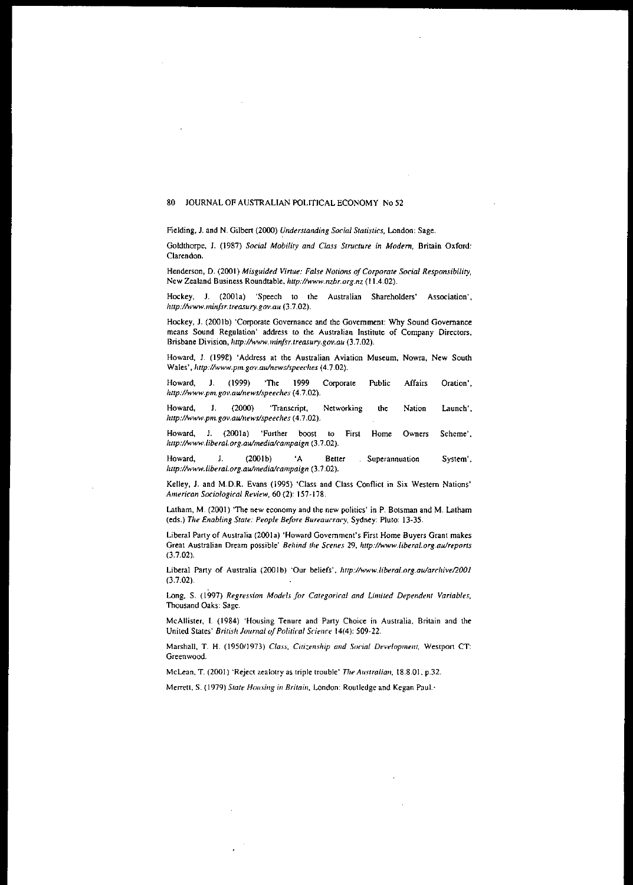Fielding, 1. and N. Gilbert (2000) *Understanding Social Statistics,* London: Sage.

Goldthorpe, 1. (1987) *Social Mobility and Class Structure in Modem,* Britain Oxford: Clarendon.

Henderson, D. (2001) *Misguided Virtue: False Notions ojCorporate Social Responsibility,* New Zealand Business Roundtable, *http://www.nzbr.org.nz(l1.4.02).*

Hockey, J. (2001a) 'Speech to the Australian Shareholders' Association', *http://www.minjsr.treasury.gov.au* (3.7.02).

Hockey, J. (2001b) 'Corporate Governance and the Government: Why Sound Governance means Sound Regulation' address to the Australian Institute of Company Directors, Brisbane Division, *Ilttp:/lwww.minjsr.treasury.gov.au(3.7.02).*

Howard, 1. (199£) 'Address at the Australian Aviation Museum, Nowra, New South Wales' , *llup://www.pm.gov.aulnews/speeches* (4.7.02).

Affairs Oration', Howard, J. (1999) 'The 1999 Corporate Public *http://www.pm.gov.aulnewslspeeches* (4.7.02).

Launch'. Nation Howard, J. (2000) 'Transcript, Networking the *http://www.pm.gov.aulnewslspeeclles* (4.7.02).

Howard, 1. (2001a) 'Further boost to First Home Owners Scheme', *http://www.liberal.org.au/media/campaign* (3.7.02).

Howard, J. (2001b) 'A Better Superannuation System', *Ilttp://www.liberal.org.au/medialcampaign(3.7.02).*

Kelley, J. and M.D.R. Evans (1995) 'Class and Class Conflict in Six Western Nations' *American Sociological Review,* 60 (2): 157·178.

Latham, M. (2001) 'The new economy and the new politics' in P. Botsman and M. Latham (eds.) *Tile Enabling Stare: People Bejore Bureaucracy,* Sydney: Pluto: 13·35.

Liberal Party of Australia (2oola) 'Howard Government's First Home Buyers Grant makes Great Australian Dream possible' *Behind the Scefles* 29, *Imp://www./iberal.org.au/reports* (3.7.02).

Liberal Party of Australia (2001b) 'Our beliefs', http://www.liberal.org.au/archive/2001 (3.7.02).

Long, S. (1997) *Regression Models for Categorical and Limited Dependent Variables,* Thousand Oaks: Sage.

McAllister, I. (1984) 'Housing Tenure and Party Choice in Australia, Britain and the United States' *British Journal of Political Science* 14(4): 509-22.

Marshall, T. H. (1950/1973) *Class, Citizenship and Social Development*, Westport CT: Greenwood.

McLean, T. (2001) 'Reject zealotry as triple trouble' *The Australian*, 18.8.01. p.32.

Merrett, S. (1979) State *Housing in Britain*, London: Routledge and Kegan Paul.·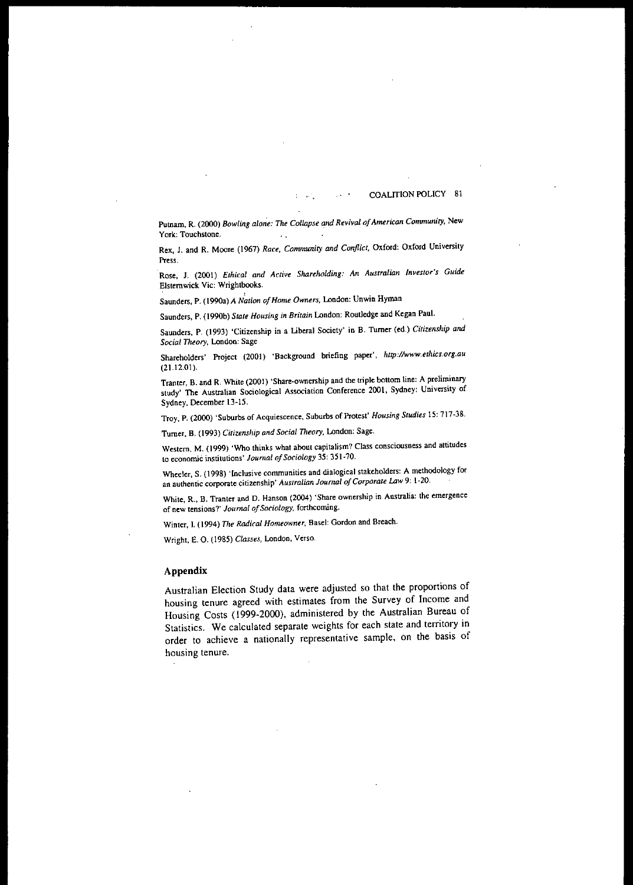#### COALITION POLICY 81  $\mathcal{M}^{\mathcal{N}}$

Publam, R. (2000) *Bowling alone: Tile Collapse and Revival ofAmerican Community,* New York: Touchstone.  $\sim$  .

 $\overline{\mathbf{r}}$ 

Rex, J. and R. Moore (1967) *Race, Community and Conflict,* Oxford: Oxford University Press.

Rose, 1. (2001) *Ethical and Active Share/lOlding: An Australian Investor's Guide* Elsternwick Vic: Wrightbooks.

Saunders, P. (1990a) A *Nation afHome Owners,* London: Unwin Hyman

Saunders, P. (l990b) *State Housing in Britain* London: Routledge and Kegan Paul.

Saunders, P. (1993) 'Citizenship in a Liberal Society' in B. Turner (ed.) *Citizenship and Social Theory,* London: Sage

Shareholders' Project (2001) 'Background briefing paper', *http://www.ethics.org.au* (21.12.01).

Tranter, B. and R. White (2001) 'Share-ownership and the triple bottom line: A preliminary study' The Australian Sociological Association Conference 2001, Sydney: University of Sydney, December 13-15.

Troy, P. (2000) 'Suburbs of Acquiescence, Suburbs of Protest' *Housing Studies* 15: 717-38.

Turner, B. (1993) *Citizensllip and Social T1leory,* London: Sage.

Western, M. (1999) 'Who thinks what about capitalism? Class consciousness and attitudes to economic institutions' *Journal of Sociology* 35: 351-70.

Wheeler, S. (1998) 'Inclusive communities and dialogical stakeholders: A methodology for an authentic corporate citizenship' *Australian Journal ofCorporale Law* 9: 1-20.

White, R.. B. Tranter and D. Hanson (2004) 'Share ownership in Australia: the emergence of new tensions?' *Journal of Sociology*, forthcoming.

Winter, l. (1994) *Tile Radical Homeowner,* Basel: Gordon and Breach.

Wright, E. O. (1985) *Classes*, London, Verso.

## Appendix

Australian Election Study data were adjusted so that the proportions of housing tenure agreed with estimates from the Survey of Income and Housing Costs (1999-2000), administered by the Australian Bureau of Statistics, We calculated separate weights for each state and territory in order to achieve a nationally representative sample. on the basis of housing tenure.